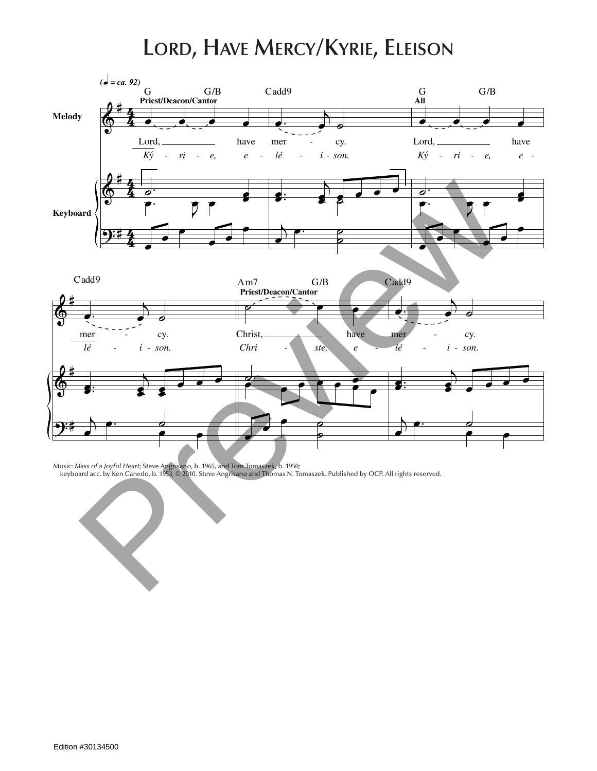## **Lord, Have Mercy/Kyrie, Eleison**



Music: *Mass of a Joyful Heart;* Steve Angrisano, b. 1965, and Tom Tomaszek, b. 1950;<br>keyboard acc. by Ken Canedo, b. 1953, © 2010, Steve Angrisano and Thomas N. Tomaszek. Published by OCP. All rights reserved.

œ. <sup>j</sup>

Edition #30134500

˙ œ œ

 $\Box$ 

*- - -*

*Chri ste,*

Christ,